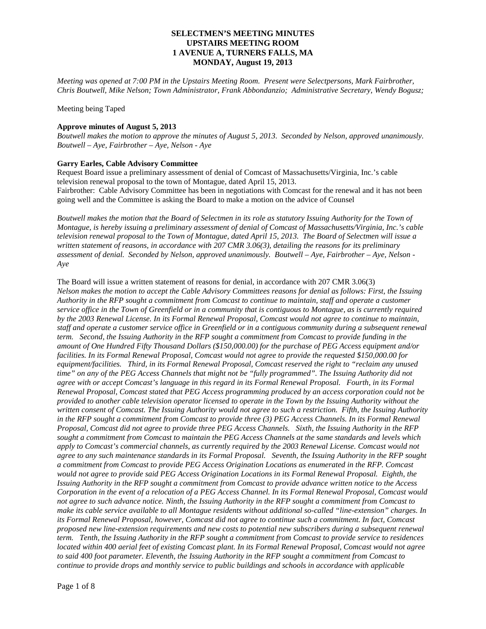*Meeting was opened at 7:00 PM in the Upstairs Meeting Room. Present were Selectpersons, Mark Fairbrother, Chris Boutwell, Mike Nelson; Town Administrator, Frank Abbondanzio; Administrative Secretary, Wendy Bogusz;* 

Meeting being Taped

#### **Approve minutes of August 5, 2013**

*Boutwell makes the motion to approve the minutes of August 5, 2013. Seconded by Nelson, approved unanimously. Boutwell – Aye, Fairbrother – Aye, Nelson - Aye*

#### **Garry Earles, Cable Advisory Committee**

Request Board issue a preliminary assessment of denial of Comcast of Massachusetts/Virginia, Inc.'s cable television renewal proposal to the town of Montague, dated April 15, 2013. Fairbrother: Cable Advisory Committee has been in negotiations with Comcast for the renewal and it has not been going well and the Committee is asking the Board to make a motion on the advice of Counsel

*Boutwell makes the motion that the Board of Selectmen in its role as statutory Issuing Authority for the Town of Montague, is hereby issuing a preliminary assessment of denial of Comcast of Massachusetts/Virginia, Inc.'s cable television renewal proposal to the Town of Montague, dated April 15, 2013. The Board of Selectmen will issue a written statement of reasons, in accordance with 207 CMR 3.06(3), detailing the reasons for its preliminary assessment of denial. Seconded by Nelson, approved unanimously. Boutwell – Aye, Fairbrother – Aye, Nelson - Aye*

The Board will issue a written statement of reasons for denial, in accordance with 207 CMR 3.06(3) *Nelson makes the motion to accept the Cable Advisory Committees reasons for denial as follows: First, the Issuing Authority in the RFP sought a commitment from Comcast to continue to maintain, staff and operate a customer service office in the Town of Greenfield or in a community that is contiguous to Montague, as is currently required by the 2003 Renewal License. In its Formal Renewal Proposal, Comcast would not agree to continue to maintain, staff and operate a customer service office in Greenfield or in a contiguous community during a subsequent renewal term. Second, the Issuing Authority in the RFP sought a commitment from Comcast to provide funding in the amount of One Hundred Fifty Thousand Dollars (\$150,000.00) for the purchase of PEG Access equipment and/or facilities. In its Formal Renewal Proposal, Comcast would not agree to provide the requested \$150,000.00 for equipment/facilities. Third, in its Formal Renewal Proposal, Comcast reserved the right to "reclaim any unused time" on any of the PEG Access Channels that might not be "fully programmed". The Issuing Authority did not agree with or accept Comcast's language in this regard in its Formal Renewal Proposal. Fourth, in its Formal Renewal Proposal, Comcast stated that PEG Access programming produced by an access corporation could not be provided to another cable television operator licensed to operate in the Town by the Issuing Authority without the written consent of Comcast. The Issuing Authority would not agree to such a restriction. Fifth, the Issuing Authority*  in the RFP sought a commitment from Comcast to provide three (3) PEG Access Channels. In its Formal Renewal *Proposal, Comcast did not agree to provide three PEG Access Channels. Sixth, the Issuing Authority in the RFP sought a commitment from Comcast to maintain the PEG Access Channels at the same standards and levels which apply to Comcast's commercial channels, as currently required by the 2003 Renewal License. Comcast would not agree to any such maintenance standards in its Formal Proposal. Seventh, the Issuing Authority in the RFP sought a commitment from Comcast to provide PEG Access Origination Locations as enumerated in the RFP. Comcast would not agree to provide said PEG Access Origination Locations in its Formal Renewal Proposal. Eighth, the Issuing Authority in the RFP sought a commitment from Comcast to provide advance written notice to the Access Corporation in the event of a relocation of a PEG Access Channel. In its Formal Renewal Proposal, Comcast would not agree to such advance notice. Ninth, the Issuing Authority in the RFP sought a commitment from Comcast to make its cable service available to all Montague residents without additional so-called "line-extension" charges. In its Formal Renewal Proposal, however, Comcast did not agree to continue such a commitment. In fact, Comcast proposed new line-extension requirements and new costs to potential new subscribers during a subsequent renewal term. Tenth, the Issuing Authority in the RFP sought a commitment from Comcast to provide service to residences located within 400 aerial feet of existing Comcast plant. In its Formal Renewal Proposal, Comcast would not agree to said 400 foot parameter. Eleventh, the Issuing Authority in the RFP sought a commitment from Comcast to continue to provide drops and monthly service to public buildings and schools in accordance with applicable*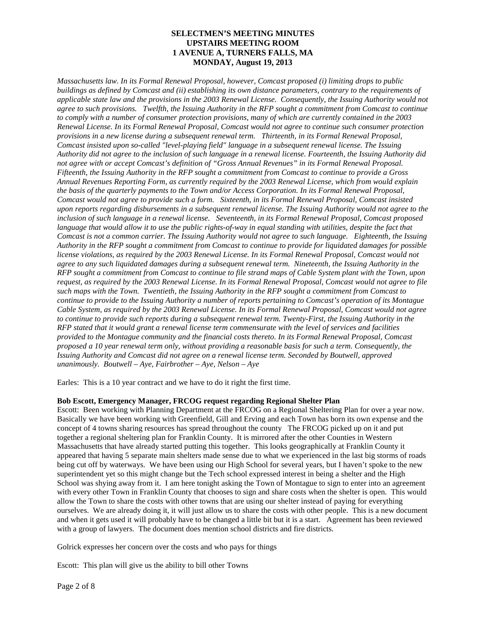*Massachusetts law. In its Formal Renewal Proposal, however, Comcast proposed (i) limiting drops to public buildings as defined by Comcast and (ii) establishing its own distance parameters, contrary to the requirements of applicable state law and the provisions in the 2003 Renewal License. Consequently, the Issuing Authority would not agree to such provisions. Twelfth, the Issuing Authority in the RFP sought a commitment from Comcast to continue to comply with a number of consumer protection provisions, many of which are currently contained in the 2003 Renewal License. In its Formal Renewal Proposal, Comcast would not agree to continue such consumer protection provisions in a new license during a subsequent renewal term. Thirteenth, in its Formal Renewal Proposal, Comcast insisted upon so-called "level-playing field" language in a subsequent renewal license. The Issuing Authority did not agree to the inclusion of such language in a renewal license. Fourteenth, the Issuing Authority did not agree with or accept Comcast's definition of "Gross Annual Revenues" in its Formal Renewal Proposal. Fifteenth, the Issuing Authority in the RFP sought a commitment from Comcast to continue to provide a Gross Annual Revenues Reporting Form, as currently required by the 2003 Renewal License, which from would explain the basis of the quarterly payments to the Town and/or Access Corporation. In its Formal Renewal Proposal, Comcast would not agree to provide such a form. Sixteenth, in its Formal Renewal Proposal, Comcast insisted upon reports regarding disbursements in a subsequent renewal license. The Issuing Authority would not agree to the inclusion of such language in a renewal license. Seventeenth, in its Formal Renewal Proposal, Comcast proposed*  language that would allow it to use the public rights-of-way in equal standing with utilities, despite the fact that *Comcast is not a common carrier. The Issuing Authority would not agree to such language. Eighteenth, the Issuing Authority in the RFP sought a commitment from Comcast to continue to provide for liquidated damages for possible license violations, as required by the 2003 Renewal License. In its Formal Renewal Proposal, Comcast would not agree to any such liquidated damages during a subsequent renewal term. Nineteenth, the Issuing Authority in the RFP sought a commitment from Comcast to continue to file strand maps of Cable System plant with the Town, upon request, as required by the 2003 Renewal License. In its Formal Renewal Proposal, Comcast would not agree to file such maps with the Town. Twentieth, the Issuing Authority in the RFP sought a commitment from Comcast to continue to provide to the Issuing Authority a number of reports pertaining to Comcast's operation of its Montague Cable System, as required by the 2003 Renewal License. In its Formal Renewal Proposal, Comcast would not agree*  to continue to provide such reports during a subsequent renewal term. Twenty-First, the Issuing Authority in the *RFP stated that it would grant a renewal license term commensurate with the level of services and facilities provided to the Montague community and the financial costs thereto. In its Formal Renewal Proposal, Comcast proposed a 10 year renewal term only, without providing a reasonable basis for such a term. Consequently, the Issuing Authority and Comcast did not agree on a renewal license term. Seconded by Boutwell, approved unanimously. Boutwell – Aye, Fairbrother – Aye, Nelson – Aye* 

Earles: This is a 10 year contract and we have to do it right the first time.

## **Bob Escott, Emergency Manager, FRCOG request regarding Regional Shelter Plan**

Escott: Been working with Planning Department at the FRCOG on a Regional Sheltering Plan for over a year now. Basically we have been working with Greenfield, Gill and Erving and each Town has born its own expense and the concept of 4 towns sharing resources has spread throughout the county The FRCOG picked up on it and put together a regional sheltering plan for Franklin County. It is mirrored after the other Counties in Western Massachusetts that have already started putting this together. This looks geographically at Franklin County it appeared that having 5 separate main shelters made sense due to what we experienced in the last big storms of roads being cut off by waterways. We have been using our High School for several years, but I haven't spoke to the new superintendent yet so this might change but the Tech school expressed interest in being a shelter and the High School was shying away from it. I am here tonight asking the Town of Montague to sign to enter into an agreement with every other Town in Franklin County that chooses to sign and share costs when the shelter is open. This would allow the Town to share the costs with other towns that are using our shelter instead of paying for everything ourselves. We are already doing it, it will just allow us to share the costs with other people. This is a new document and when it gets used it will probably have to be changed a little bit but it is a start. Agreement has been reviewed with a group of lawyers. The document does mention school districts and fire districts.

Golrick expresses her concern over the costs and who pays for things

Escott: This plan will give us the ability to bill other Towns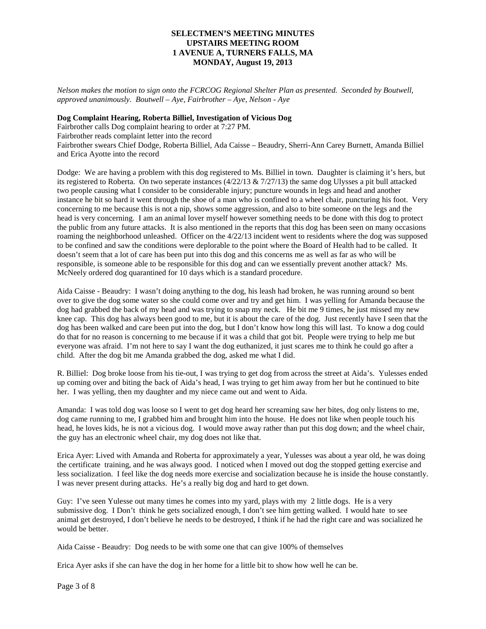*Nelson makes the motion to sign onto the FCRCOG Regional Shelter Plan as presented. Seconded by Boutwell, approved unanimously. Boutwell – Aye, Fairbrother – Aye, Nelson - Aye*

#### **Dog Complaint Hearing, Roberta Billiel, Investigation of Vicious Dog**

Fairbrother calls Dog complaint hearing to order at 7:27 PM.

Fairbrother reads complaint letter into the record

Fairbrother swears Chief Dodge, Roberta Billiel, Ada Caisse – Beaudry, Sherri-Ann Carey Burnett, Amanda Billiel and Erica Ayotte into the record

Dodge: We are having a problem with this dog registered to Ms. Billiel in town. Daughter is claiming it's hers, but its registered to Roberta. On two seperate instances  $(4/22/13 \& 7/27/13)$  the same dog Ulysses a pit bull attacked two people causing what I consider to be considerable injury; puncture wounds in legs and head and another instance he bit so hard it went through the shoe of a man who is confined to a wheel chair, puncturing his foot. Very concerning to me because this is not a nip, shows some aggression, and also to bite someone on the legs and the head is very concerning. I am an animal lover myself however something needs to be done with this dog to protect the public from any future attacks. It is also mentioned in the reports that this dog has been seen on many occasions roaming the neighborhood unleashed. Officer on the 4/22/13 incident went to residents where the dog was supposed to be confined and saw the conditions were deplorable to the point where the Board of Health had to be called. It doesn't seem that a lot of care has been put into this dog and this concerns me as well as far as who will be responsible, is someone able to be responsible for this dog and can we essentially prevent another attack? Ms. McNeely ordered dog quarantined for 10 days which is a standard procedure.

Aida Caisse - Beaudry: I wasn't doing anything to the dog, his leash had broken, he was running around so bent over to give the dog some water so she could come over and try and get him. I was yelling for Amanda because the dog had grabbed the back of my head and was trying to snap my neck. He bit me 9 times, he just missed my new knee cap. This dog has always been good to me, but it is about the care of the dog. Just recently have I seen that the dog has been walked and care been put into the dog, but I don't know how long this will last. To know a dog could do that for no reason is concerning to me because if it was a child that got bit. People were trying to help me but everyone was afraid. I'm not here to say I want the dog euthanized, it just scares me to think he could go after a child. After the dog bit me Amanda grabbed the dog, asked me what I did.

R. Billiel: Dog broke loose from his tie-out, I was trying to get dog from across the street at Aida's. Yulesses ended up coming over and biting the back of Aida's head, I was trying to get him away from her but he continued to bite her. I was yelling, then my daughter and my niece came out and went to Aida.

Amanda: I was told dog was loose so I went to get dog heard her screaming saw her bites, dog only listens to me, dog came running to me, I grabbed him and brought him into the house. He does not like when people touch his head, he loves kids, he is not a vicious dog. I would move away rather than put this dog down; and the wheel chair, the guy has an electronic wheel chair, my dog does not like that.

Erica Ayer: Lived with Amanda and Roberta for approximately a year, Yulesses was about a year old, he was doing the certificate training, and he was always good. I noticed when I moved out dog the stopped getting exercise and less socialization. I feel like the dog needs more exercise and socialization because he is inside the house constantly. I was never present during attacks. He's a really big dog and hard to get down.

Guy: I've seen Yulesse out many times he comes into my yard, plays with my 2 little dogs. He is a very submissive dog. I Don't think he gets socialized enough, I don't see him getting walked. I would hate to see animal get destroyed, I don't believe he needs to be destroyed, I think if he had the right care and was socialized he would be better.

Aida Caisse - Beaudry: Dog needs to be with some one that can give 100% of themselves

Erica Ayer asks if she can have the dog in her home for a little bit to show how well he can be.

Page 3 of 8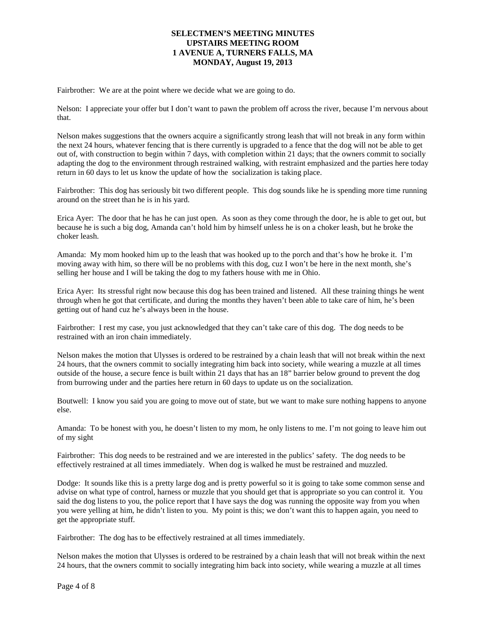Fairbrother: We are at the point where we decide what we are going to do.

Nelson: I appreciate your offer but I don't want to pawn the problem off across the river, because I'm nervous about that.

Nelson makes suggestions that the owners acquire a significantly strong leash that will not break in any form within the next 24 hours, whatever fencing that is there currently is upgraded to a fence that the dog will not be able to get out of, with construction to begin within 7 days, with completion within 21 days; that the owners commit to socially adapting the dog to the environment through restrained walking, with restraint emphasized and the parties here today return in 60 days to let us know the update of how the socialization is taking place.

Fairbrother: This dog has seriously bit two different people. This dog sounds like he is spending more time running around on the street than he is in his yard.

Erica Ayer: The door that he has he can just open. As soon as they come through the door, he is able to get out, but because he is such a big dog, Amanda can't hold him by himself unless he is on a choker leash, but he broke the choker leash.

Amanda: My mom hooked him up to the leash that was hooked up to the porch and that's how he broke it. I'm moving away with him, so there will be no problems with this dog, cuz I won't be here in the next month, she's selling her house and I will be taking the dog to my fathers house with me in Ohio.

Erica Ayer: Its stressful right now because this dog has been trained and listened. All these training things he went through when he got that certificate, and during the months they haven't been able to take care of him, he's been getting out of hand cuz he's always been in the house.

Fairbrother: I rest my case, you just acknowledged that they can't take care of this dog. The dog needs to be restrained with an iron chain immediately.

Nelson makes the motion that Ulysses is ordered to be restrained by a chain leash that will not break within the next 24 hours, that the owners commit to socially integrating him back into society, while wearing a muzzle at all times outside of the house, a secure fence is built within 21 days that has an 18" barrier below ground to prevent the dog from burrowing under and the parties here return in 60 days to update us on the socialization.

Boutwell: I know you said you are going to move out of state, but we want to make sure nothing happens to anyone else.

Amanda: To be honest with you, he doesn't listen to my mom, he only listens to me. I'm not going to leave him out of my sight

Fairbrother: This dog needs to be restrained and we are interested in the publics' safety. The dog needs to be effectively restrained at all times immediately. When dog is walked he must be restrained and muzzled.

Dodge: It sounds like this is a pretty large dog and is pretty powerful so it is going to take some common sense and advise on what type of control, harness or muzzle that you should get that is appropriate so you can control it. You said the dog listens to you, the police report that I have says the dog was running the opposite way from you when you were yelling at him, he didn't listen to you. My point is this; we don't want this to happen again, you need to get the appropriate stuff.

Fairbrother: The dog has to be effectively restrained at all times immediately.

Nelson makes the motion that Ulysses is ordered to be restrained by a chain leash that will not break within the next 24 hours, that the owners commit to socially integrating him back into society, while wearing a muzzle at all times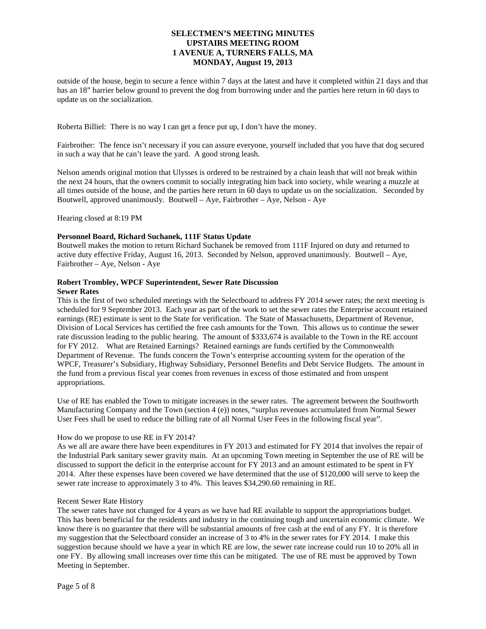outside of the house, begin to secure a fence within 7 days at the latest and have it completed within 21 days and that has an 18" barrier below ground to prevent the dog from burrowing under and the parties here return in 60 days to update us on the socialization.

Roberta Billiel: There is no way I can get a fence put up, I don't have the money.

Fairbrother: The fence isn't necessary if you can assure everyone, yourself included that you have that dog secured in such a way that he can't leave the yard. A good strong leash.

Nelson amends original motion that Ulysses is ordered to be restrained by a chain leash that will not break within the next 24 hours, that the owners commit to socially integrating him back into society, while wearing a muzzle at all times outside of the house, and the parties here return in 60 days to update us on the socialization. Seconded by Boutwell, approved unanimously. Boutwell – Aye, Fairbrother – Aye, Nelson - Aye

Hearing closed at 8:19 PM

#### **Personnel Board, Richard Suchanek, 111F Status Update**

Boutwell makes the motion to return Richard Suchanek be removed from 111F Injured on duty and returned to active duty effective Friday, August 16, 2013. Seconded by Nelson, approved unanimously. Boutwell – Aye, Fairbrother – Aye, Nelson - Aye

#### **Robert Trombley, WPCF Superintendent, Sewer Rate Discussion Sewer Rates**

This is the first of two scheduled meetings with the Selectboard to address FY 2014 sewer rates; the next meeting is scheduled for 9 September 2013. Each year as part of the work to set the sewer rates the Enterprise account retained earnings (RE) estimate is sent to the State for verification. The State of Massachusetts, Department of Revenue, Division of Local Services has certified the free cash amounts for the Town. This allows us to continue the sewer rate discussion leading to the public hearing. The amount of \$333,674 is available to the Town in the RE account for FY 2012. What are Retained Earnings? Retained earnings are funds certified by the Commonwealth Department of Revenue. The funds concern the Town's enterprise accounting system for the operation of the WPCF, Treasurer's Subsidiary, Highway Subsidiary, Personnel Benefits and Debt Service Budgets. The amount in the fund from a previous fiscal year comes from revenues in excess of those estimated and from unspent appropriations.

Use of RE has enabled the Town to mitigate increases in the sewer rates. The agreement between the Southworth Manufacturing Company and the Town (section 4 (e)) notes, "surplus revenues accumulated from Normal Sewer User Fees shall be used to reduce the billing rate of all Normal User Fees in the following fiscal year".

#### How do we propose to use RE in FY 2014?

As we all are aware there have been expenditures in FY 2013 and estimated for FY 2014 that involves the repair of the Industrial Park sanitary sewer gravity main. At an upcoming Town meeting in September the use of RE will be discussed to support the deficit in the enterprise account for FY 2013 and an amount estimated to be spent in FY 2014. After these expenses have been covered we have determined that the use of \$120,000 will serve to keep the sewer rate increase to approximately 3 to 4%. This leaves \$34,290.60 remaining in RE.

#### Recent Sewer Rate History

The sewer rates have not changed for 4 years as we have had RE available to support the appropriations budget. This has been beneficial for the residents and industry in the continuing tough and uncertain economic climate. We know there is no guarantee that there will be substantial amounts of free cash at the end of any FY. It is therefore my suggestion that the Selectboard consider an increase of 3 to 4% in the sewer rates for FY 2014. I make this suggestion because should we have a year in which RE are low, the sewer rate increase could run 10 to 20% all in one FY. By allowing small increases over time this can be mitigated. The use of RE must be approved by Town Meeting in September.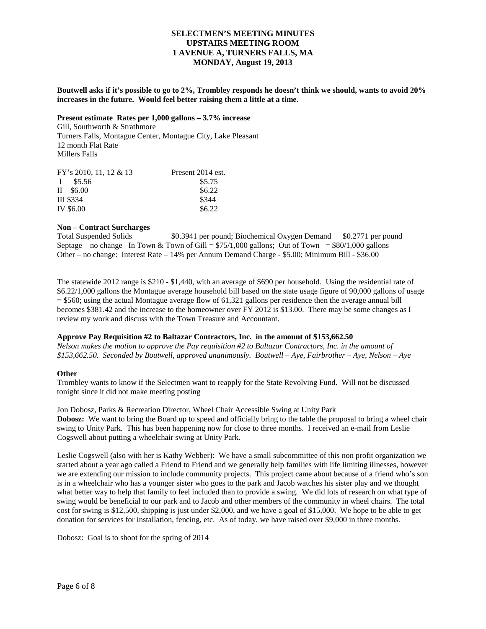**Boutwell asks if it's possible to go to 2%, Trombley responds he doesn't think we should, wants to avoid 20% increases in the future. Would feel better raising them a little at a time.**

## **Present estimate Rates per 1,000 gallons – 3.7% increase**

Gill, Southworth & Strathmore Turners Falls, Montague Center, Montague City, Lake Pleasant 12 month Flat Rate Millers Falls

| FY's 2010, 11, 12 & 13 | Present 2014 est. |
|------------------------|-------------------|
| $I$ \$5.56             | \$5.75            |
| $II$ \$6.00            | \$6.22            |
| <b>III \$334</b>       | \$344             |
| IV \$6.00              | \$6.22            |

# **Non – Contract Surcharges**

\$0.3941 per pound; Biochemical Oxygen Demand \$0.2771 per pound Septage – no change In Town & Town of Gill =  $$75/1,000$  gallons; Out of Town =  $$80/1,000$  gallons Other – no change: Interest Rate – 14% per Annum Demand Charge - \$5.00; Minimum Bill - \$36.00

The statewide 2012 range is \$210 - \$1,440, with an average of \$690 per household. Using the residential rate of \$6.22/1,000 gallons the Montague average household bill based on the state usage figure of 90,000 gallons of usage  $=$  \$560; using the actual Montague average flow of 61,321 gallons per residence then the average annual bill becomes \$381.42 and the increase to the homeowner over FY 2012 is \$13.00. There may be some changes as I review my work and discuss with the Town Treasure and Accountant.

## **Approve Pay Requisition #2 to Baltazar Contractors, Inc. in the amount of \$153,662.50**

*Nelson makes the motion to approve the Pay requisition #2 to Baltazar Contractors, Inc. in the amount of \$153,662.50. Seconded by Boutwell, approved unanimously. Boutwell – Aye, Fairbrother – Aye, Nelson – Aye*

## **Other**

Trombley wants to know if the Selectmen want to reapply for the State Revolving Fund. Will not be discussed tonight since it did not make meeting posting

Jon Dobosz, Parks & Recreation Director, Wheel Chair Accessible Swing at Unity Park **Dobosz:** We want to bring the Board up to speed and officially bring to the table the proposal to bring a wheel chair swing to Unity Park. This has been happening now for close to three months. I received an e-mail from Leslie Cogswell about putting a wheelchair swing at Unity Park.

Leslie Cogswell (also with her is Kathy Webber): We have a small subcommittee of this non profit organization we started about a year ago called a Friend to Friend and we generally help families with life limiting illnesses, however we are extending our mission to include community projects. This project came about because of a friend who's son is in a wheelchair who has a younger sister who goes to the park and Jacob watches his sister play and we thought what better way to help that family to feel included than to provide a swing. We did lots of research on what type of swing would be beneficial to our park and to Jacob and other members of the community in wheel chairs. The total cost for swing is \$12,500, shipping is just under \$2,000, and we have a goal of \$15,000. We hope to be able to get donation for services for installation, fencing, etc. As of today, we have raised over \$9,000 in three months.

Dobosz: Goal is to shoot for the spring of 2014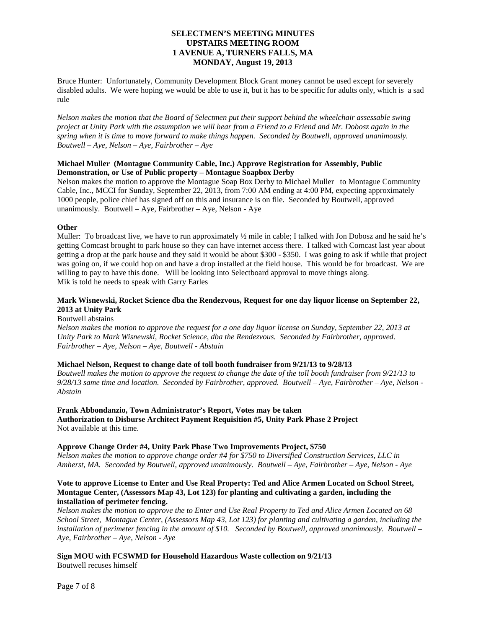Bruce Hunter: Unfortunately, Community Development Block Grant money cannot be used except for severely disabled adults. We were hoping we would be able to use it, but it has to be specific for adults only, which is a sad rule

*Nelson makes the motion that the Board of Selectmen put their support behind the wheelchair assessable swing project at Unity Park with the assumption we will hear from a Friend to a Friend and Mr. Dobosz again in the spring when it is time to move forward to make things happen. Seconded by Boutwell, approved unanimously. Boutwell – Aye, Nelson – Aye, Fairbrother – Aye*

#### **Michael Muller (Montague Community Cable, Inc.) Approve Registration for Assembly, Public Demonstration, or Use of Public property – Montague Soapbox Derby**

Nelson makes the motion to approve the Montague Soap Box Derby to Michael Muller to Montague Community Cable, Inc., MCCI for Sunday, September 22, 2013, from 7:00 AM ending at 4:00 PM, expecting approximately 1000 people, police chief has signed off on this and insurance is on file. Seconded by Boutwell, approved unanimously. Boutwell – Aye, Fairbrother – Aye, Nelson - Aye

## **Other**

Muller: To broadcast live, we have to run approximately  $\frac{1}{2}$  mile in cable; I talked with Jon Dobosz and he said he's getting Comcast brought to park house so they can have internet access there. I talked with Comcast last year about getting a drop at the park house and they said it would be about \$300 - \$350. I was going to ask if while that project was going on, if we could hop on and have a drop installed at the field house. This would be for broadcast. We are willing to pay to have this done. Will be looking into Selectboard approval to move things along. Mik is told he needs to speak with Garry Earles

## **Mark Wisnewski, Rocket Science dba the Rendezvous, Request for one day liquor license on September 22, 2013 at Unity Park**

Boutwell abstains

*Nelson makes the motion to approve the request for a one day liquor license on Sunday, September 22, 2013 at Unity Park to Mark Wisnewski, Rocket Science, dba the Rendezvous. Seconded by Fairbrother, approved. Fairbrother – Aye, Nelson – Aye, Boutwell - Abstain*

## **Michael Nelson, Request to change date of toll booth fundraiser from 9/21/13 to 9/28/13**

*Boutwell makes the motion to approve the request to change the date of the toll booth fundraiser from 9/21/13 to 9/28/13 same time and location. Seconded by Fairbrother, approved. Boutwell – Aye, Fairbrother – Aye, Nelson - Abstain*

# **Frank Abbondanzio, Town Administrator's Report, Votes may be taken**

**Authorization to Disburse Architect Payment Requisition #5, Unity Park Phase 2 Project** Not available at this time.

## **Approve Change Order #4, Unity Park Phase Two Improvements Project, \$750**

*Nelson makes the motion to approve change order #4 for \$750 to Diversified Construction Services, LLC in Amherst, MA. Seconded by Boutwell, approved unanimously. Boutwell – Aye, Fairbrother – Aye, Nelson - Aye*

#### **Vote to approve License to Enter and Use Real Property: Ted and Alice Armen Located on School Street, Montague Center, (Assessors Map 43, Lot 123) for planting and cultivating a garden, including the installation of perimeter fencing.**

*Nelson makes the motion to approve the to Enter and Use Real Property to Ted and Alice Armen Located on 68 School Street, Montague Center, (Assessors Map 43, Lot 123) for planting and cultivating a garden, including the installation of perimeter fencing in the amount of \$10. Seconded by Boutwell, approved unanimously. Boutwell – Aye, Fairbrother – Aye, Nelson - Aye*

**Sign MOU with FCSWMD for Household Hazardous Waste collection on 9/21/13** Boutwell recuses himself